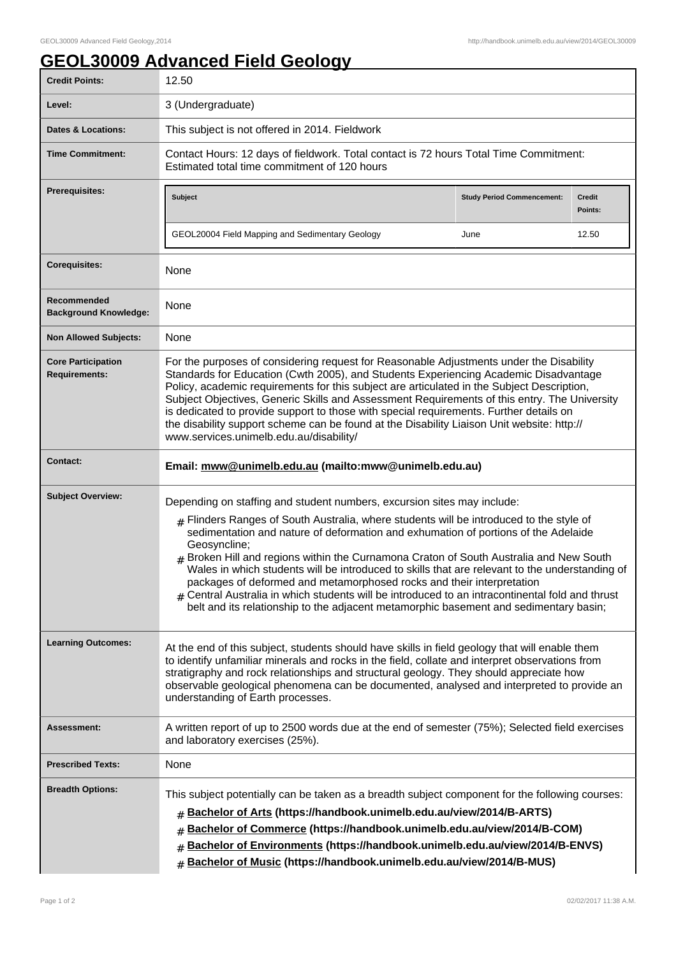## **GEOL30009 Advanced Field Geology**

| <b>Credit Points:</b>                             | 12.50                                                                                                                                                                                                                                                                                                                                                                                                                                                                                                                                                                                                                                                                                                                                           |                                           |                                   |
|---------------------------------------------------|-------------------------------------------------------------------------------------------------------------------------------------------------------------------------------------------------------------------------------------------------------------------------------------------------------------------------------------------------------------------------------------------------------------------------------------------------------------------------------------------------------------------------------------------------------------------------------------------------------------------------------------------------------------------------------------------------------------------------------------------------|-------------------------------------------|-----------------------------------|
| Level:                                            | 3 (Undergraduate)                                                                                                                                                                                                                                                                                                                                                                                                                                                                                                                                                                                                                                                                                                                               |                                           |                                   |
| Dates & Locations:                                | This subject is not offered in 2014. Fieldwork                                                                                                                                                                                                                                                                                                                                                                                                                                                                                                                                                                                                                                                                                                  |                                           |                                   |
| <b>Time Commitment:</b>                           | Contact Hours: 12 days of fieldwork. Total contact is 72 hours Total Time Commitment:<br>Estimated total time commitment of 120 hours                                                                                                                                                                                                                                                                                                                                                                                                                                                                                                                                                                                                           |                                           |                                   |
| <b>Prerequisites:</b>                             | Subject<br>GEOL20004 Field Mapping and Sedimentary Geology                                                                                                                                                                                                                                                                                                                                                                                                                                                                                                                                                                                                                                                                                      | <b>Study Period Commencement:</b><br>June | <b>Credit</b><br>Points:<br>12.50 |
| <b>Corequisites:</b>                              | None                                                                                                                                                                                                                                                                                                                                                                                                                                                                                                                                                                                                                                                                                                                                            |                                           |                                   |
| Recommended<br><b>Background Knowledge:</b>       | None                                                                                                                                                                                                                                                                                                                                                                                                                                                                                                                                                                                                                                                                                                                                            |                                           |                                   |
| <b>Non Allowed Subjects:</b>                      | None                                                                                                                                                                                                                                                                                                                                                                                                                                                                                                                                                                                                                                                                                                                                            |                                           |                                   |
| <b>Core Participation</b><br><b>Requirements:</b> | For the purposes of considering request for Reasonable Adjustments under the Disability<br>Standards for Education (Cwth 2005), and Students Experiencing Academic Disadvantage<br>Policy, academic requirements for this subject are articulated in the Subject Description,<br>Subject Objectives, Generic Skills and Assessment Requirements of this entry. The University<br>is dedicated to provide support to those with special requirements. Further details on<br>the disability support scheme can be found at the Disability Liaison Unit website: http://<br>www.services.unimelb.edu.au/disability/                                                                                                                                |                                           |                                   |
| <b>Contact:</b>                                   | Email: mww@unimelb.edu.au (mailto:mww@unimelb.edu.au)                                                                                                                                                                                                                                                                                                                                                                                                                                                                                                                                                                                                                                                                                           |                                           |                                   |
| <b>Subject Overview:</b>                          | Depending on staffing and student numbers, excursion sites may include:<br>$#$ Flinders Ranges of South Australia, where students will be introduced to the style of<br>sedimentation and nature of deformation and exhumation of portions of the Adelaide<br>Geosyncline;<br>Broken Hill and regions within the Curnamona Craton of South Australia and New South<br>Wales in which students will be introduced to skills that are relevant to the understanding of<br>packages of deformed and metamorphosed rocks and their interpretation<br>$_{\#}$ Central Australia in which students will be introduced to an intracontinental fold and thrust<br>belt and its relationship to the adjacent metamorphic basement and sedimentary basin; |                                           |                                   |
| <b>Learning Outcomes:</b>                         | At the end of this subject, students should have skills in field geology that will enable them<br>to identify unfamiliar minerals and rocks in the field, collate and interpret observations from<br>stratigraphy and rock relationships and structural geology. They should appreciate how<br>observable geological phenomena can be documented, analysed and interpreted to provide an<br>understanding of Earth processes.                                                                                                                                                                                                                                                                                                                   |                                           |                                   |
| Assessment:                                       | A written report of up to 2500 words due at the end of semester (75%); Selected field exercises<br>and laboratory exercises (25%).                                                                                                                                                                                                                                                                                                                                                                                                                                                                                                                                                                                                              |                                           |                                   |
| <b>Prescribed Texts:</b>                          | None                                                                                                                                                                                                                                                                                                                                                                                                                                                                                                                                                                                                                                                                                                                                            |                                           |                                   |
| <b>Breadth Options:</b>                           | This subject potentially can be taken as a breadth subject component for the following courses:<br>Bachelor of Arts (https://handbook.unimelb.edu.au/view/2014/B-ARTS)<br>#<br>Bachelor of Commerce (https://handbook.unimelb.edu.au/view/2014/B-COM)<br>#<br>Bachelor of Environments (https://handbook.unimelb.edu.au/view/2014/B-ENVS)<br>Bachelor of Music (https://handbook.unimelb.edu.au/view/2014/B-MUS)<br>#                                                                                                                                                                                                                                                                                                                           |                                           |                                   |